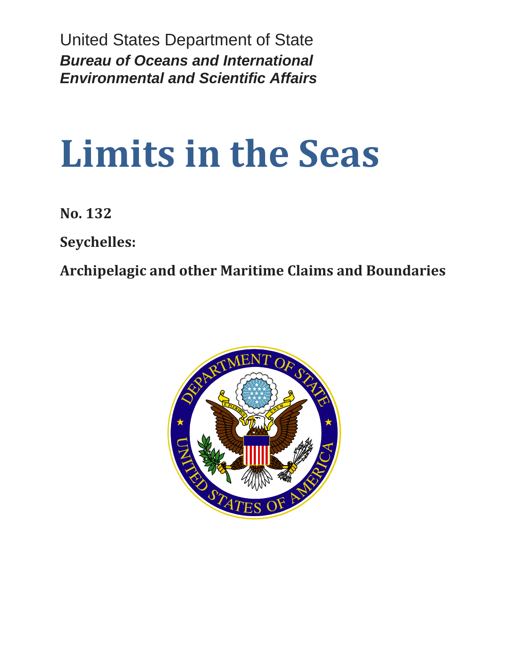United States Department of State *Bureau of Oceans and International Environmental and Scientific Affairs*

# **Limits in the Seas**

**No. 132**

**Seychelles:**

**Archipelagic and other Maritime Claims and Boundaries**

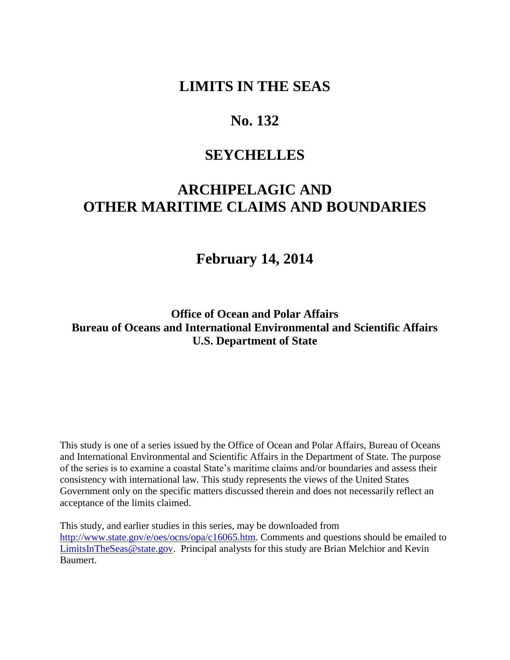# **LIMITS IN THE SEAS**

# **No. 132**

# **SEYCHELLES**

# **ARCHIPELAGIC AND OTHER MARITIME CLAIMS AND BOUNDARIES**

# **February 14, 2014**

**Office of Ocean and Polar Affairs Bureau of Oceans and International Environmental and Scientific Affairs U.S. Department of State**

This study is one of a series issued by the Office of Ocean and Polar Affairs, Bureau of Oceans and International Environmental and Scientific Affairs in the Department of State. The purpose of the series is to examine a coastal State's maritime claims and/or boundaries and assess their consistency with international law. This study represents the views of the United States Government only on the specific matters discussed therein and does not necessarily reflect an acceptance of the limits claimed.

This study, and earlier studies in this series, may be downloaded from [http://www.state.gov/e/oes/ocns/opa/c16065.htm.](http://www.state.gov/e/oes/ocns/opa/c16065.htm) Comments and questions should be emailed to [LimitsInTheSeas@state.gov.](mailto:LimitsInTheSeas@state.gov) Principal analysts for this study are Brian Melchior and Kevin Baumert.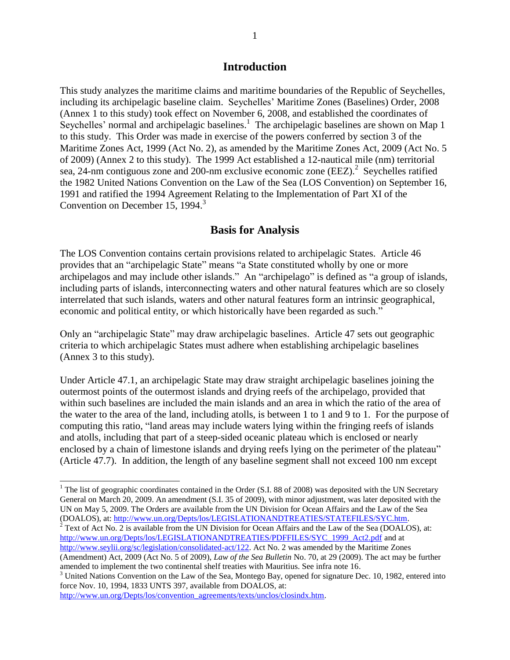## **Introduction**

This study analyzes the maritime claims and maritime boundaries of the Republic of Seychelles, including its archipelagic baseline claim. Seychelles' Maritime Zones (Baselines) Order, 2008 (Annex 1 to this study) took effect on November 6, 2008, and established the coordinates of Seychelles' normal and archipelagic baselines.<sup>1</sup> The archipelagic baselines are shown on Map 1 to this study. This Order was made in exercise of the powers conferred by section 3 of the Maritime Zones Act, 1999 (Act No. 2), as amended by the Maritime Zones Act, 2009 (Act No. 5 of 2009) (Annex 2 to this study). The 1999 Act established a 12-nautical mile (nm) territorial sea, 24-nm contiguous zone and 200-nm exclusive economic zone  $(EEZ)$ <sup>2</sup> Seychelles ratified the 1982 United Nations Convention on the Law of the Sea (LOS Convention) on September 16, 1991 and ratified the 1994 Agreement Relating to the Implementation of Part XI of the Convention on December 15, 1994. $3$ 

## **Basis for Analysis**

The LOS Convention contains certain provisions related to archipelagic States. Article 46 provides that an "archipelagic State" means "a State constituted wholly by one or more archipelagos and may include other islands." An "archipelago" is defined as "a group of islands, including parts of islands, interconnecting waters and other natural features which are so closely interrelated that such islands, waters and other natural features form an intrinsic geographical, economic and political entity, or which historically have been regarded as such."

Only an "archipelagic State" may draw archipelagic baselines. Article 47 sets out geographic criteria to which archipelagic States must adhere when establishing archipelagic baselines (Annex 3 to this study).

Under Article 47.1, an archipelagic State may draw straight archipelagic baselines joining the outermost points of the outermost islands and drying reefs of the archipelago, provided that within such baselines are included the main islands and an area in which the ratio of the area of the water to the area of the land, including atolls, is between 1 to 1 and 9 to 1. For the purpose of computing this ratio, "land areas may include waters lying within the fringing reefs of islands and atolls, including that part of a steep-sided oceanic plateau which is enclosed or nearly enclosed by a chain of limestone islands and drying reefs lying on the perimeter of the plateau" (Article 47.7). In addition, the length of any baseline segment shall not exceed 100 nm except

[http://www.un.org/Depts/los/LEGISLATIONANDTREATIES/PDFFILES/SYC\\_1999\\_Act2.pdf](http://www.un.org/Depts/los/LEGISLATIONANDTREATIES/PDFFILES/SYC_1999_Act2.pdf) and at [http://www.seylii.org/sc/legislation/consolidated-act/122.](http://www.seylii.org/sc/legislation/consolidated-act/122) Act No. 2 was amended by the Maritime Zones (Amendment) Act, 2009 (Act No. 5 of 2009), *Law of the Sea Bulletin* No. 70, at 29 (2009). The act may be further

amended to implement the two continental shelf treaties with Mauritius. See infra note 16.

[http://www.un.org/Depts/los/convention\\_agreements/texts/unclos/closindx.htm.](http://www.un.org/Depts/los/convention_agreements/texts/unclos/closindx.htm)

 $\overline{a}$ 

<sup>&</sup>lt;sup>1</sup> The list of geographic coordinates contained in the Order (S.I. 88 of 2008) was deposited with the UN Secretary General on March 20, 2009. An amendment (S.I. 35 of 2009), with minor adjustment, was later deposited with the UN on May 5, 2009. The Orders are available from the UN Division for Ocean Affairs and the Law of the Sea (DOALOS), at[: http://www.un.org/Depts/los/LEGISLATIONANDTREATIES/STATEFILES/SYC.htm.](http://www.un.org/Depts/los/LEGISLATIONANDTREATIES/STATEFILES/SYC.htm)  $2^2$  Text of Act No. 2 is available from the UN Division for Ocean Affairs and the Law of the Sea (DOALOS), at:

<sup>&</sup>lt;sup>3</sup> United Nations Convention on the Law of the Sea, Montego Bay, opened for signature Dec. 10, 1982, entered into force Nov. 10, 1994, 1833 UNTS 397, available from DOALOS, at: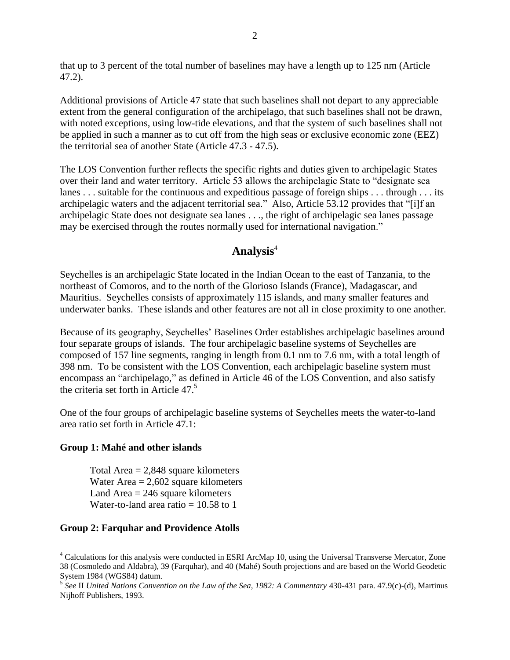that up to 3 percent of the total number of baselines may have a length up to 125 nm (Article 47.2).

Additional provisions of Article 47 state that such baselines shall not depart to any appreciable extent from the general configuration of the archipelago, that such baselines shall not be drawn, with noted exceptions, using low-tide elevations, and that the system of such baselines shall not be applied in such a manner as to cut off from the high seas or exclusive economic zone (EEZ) the territorial sea of another State (Article 47.3 - 47.5).

The LOS Convention further reflects the specific rights and duties given to archipelagic States over their land and water territory. Article 53 allows the archipelagic State to "designate sea lanes . . . suitable for the continuous and expeditious passage of foreign ships . . . through . . . its archipelagic waters and the adjacent territorial sea." Also, Article 53.12 provides that "[i]f an archipelagic State does not designate sea lanes . . ., the right of archipelagic sea lanes passage may be exercised through the routes normally used for international navigation."

## **Analysis**<sup>4</sup>

Seychelles is an archipelagic State located in the Indian Ocean to the east of Tanzania, to the northeast of Comoros, and to the north of the Glorioso Islands (France), Madagascar, and Mauritius. Seychelles consists of approximately 115 islands, and many smaller features and underwater banks. These islands and other features are not all in close proximity to one another.

Because of its geography, Seychelles' Baselines Order establishes archipelagic baselines around four separate groups of islands. The four archipelagic baseline systems of Seychelles are composed of 157 line segments, ranging in length from 0.1 nm to 7.6 nm, with a total length of 398 nm. To be consistent with the LOS Convention, each archipelagic baseline system must encompass an "archipelago," as defined in Article 46 of the LOS Convention, and also satisfy the criteria set forth in Article 47. 5

One of the four groups of archipelagic baseline systems of Seychelles meets the water-to-land area ratio set forth in Article 47.1:

## **Group 1: Mahé and other islands**

 $\overline{\phantom{a}}$ 

Total Area  $= 2,848$  square kilometers Water Area  $= 2,602$  square kilometers Land Area  $= 246$  square kilometers Water-to-land area ratio  $= 10.58$  to 1

## **Group 2: Farquhar and Providence Atolls**

<sup>4</sup> Calculations for this analysis were conducted in ESRI ArcMap 10, using the Universal Transverse Mercator, Zone 38 (Cosmoledo and Aldabra), 39 (Farquhar), and 40 (Mahé) South projections and are based on the World Geodetic

System 1984 (WGS84) datum. 5 *See* II *United Nations Convention on the Law of the Sea, 1982: A Commentary* 430-431 para. 47.9(c)-(d), Martinus Nijhoff Publishers, 1993.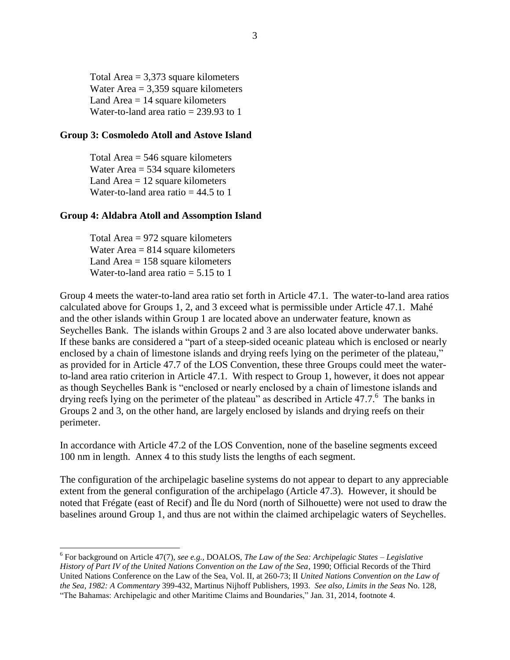Total Area  $= 3,373$  square kilometers Water Area  $= 3,359$  square kilometers Land Area  $= 14$  square kilometers Water-to-land area ratio  $= 239.93$  to 1

#### **Group 3: Cosmoledo Atoll and Astove Island**

Total Area  $=$  546 square kilometers Water Area = 534 square kilometers Land Area  $= 12$  square kilometers Water-to-land area ratio  $=$  44.5 to 1

### **Group 4: Aldabra Atoll and Assomption Island**

Total Area = 972 square kilometers Water Area  $= 814$  square kilometers Land Area  $= 158$  square kilometers Water-to-land area ratio  $= 5.15$  to 1

 $\overline{\phantom{a}}$ 

Group 4 meets the water-to-land area ratio set forth in Article 47.1. The water-to-land area ratios calculated above for Groups 1, 2, and 3 exceed what is permissible under Article 47.1. Mahé and the other islands within Group 1 are located above an underwater feature, known as Seychelles Bank. The islands within Groups 2 and 3 are also located above underwater banks. If these banks are considered a "part of a steep-sided oceanic plateau which is enclosed or nearly enclosed by a chain of limestone islands and drying reefs lying on the perimeter of the plateau," as provided for in Article 47.7 of the LOS Convention, these three Groups could meet the waterto-land area ratio criterion in Article 47.1. With respect to Group 1, however, it does not appear as though Seychelles Bank is "enclosed or nearly enclosed by a chain of limestone islands and drying reefs lying on the perimeter of the plateau" as described in Article 47.7. 6 The banks in Groups 2 and 3, on the other hand, are largely enclosed by islands and drying reefs on their perimeter.

In accordance with Article 47.2 of the LOS Convention, none of the baseline segments exceed 100 nm in length. Annex 4 to this study lists the lengths of each segment.

The configuration of the archipelagic baseline systems do not appear to depart to any appreciable extent from the general configuration of the archipelago (Article 47.3). However, it should be noted that Frégate (east of Recif) and Île du Nord (north of Silhouette) were not used to draw the baselines around Group 1, and thus are not within the claimed archipelagic waters of Seychelles.

<sup>6</sup> For background on Article 47(7), *see e.g.*, DOALOS, *The Law of the Sea: Archipelagic States – Legislative History of Part IV of the United Nations Convention on the Law of the Sea*, 1990; Official Records of the Third United Nations Conference on the Law of the Sea, Vol. II, at 260-73; II *United Nations Convention on the Law of the Sea, 1982: A Commentary* 399-432, Martinus Nijhoff Publishers, 1993. *See also*, *Limits in the Seas* No. 128, "The Bahamas: Archipelagic and other Maritime Claims and Boundaries," Jan. 31, 2014, footnote 4.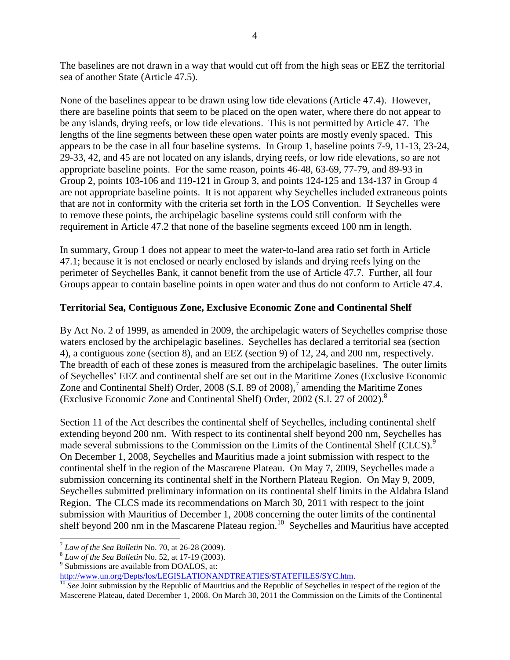The baselines are not drawn in a way that would cut off from the high seas or EEZ the territorial sea of another State (Article 47.5).

None of the baselines appear to be drawn using low tide elevations (Article 47.4). However, there are baseline points that seem to be placed on the open water, where there do not appear to be any islands, drying reefs, or low tide elevations. This is not permitted by Article 47. The lengths of the line segments between these open water points are mostly evenly spaced. This appears to be the case in all four baseline systems. In Group 1, baseline points 7-9, 11-13, 23-24, 29-33, 42, and 45 are not located on any islands, drying reefs, or low ride elevations, so are not appropriate baseline points. For the same reason, points 46-48, 63-69, 77-79, and 89-93 in Group 2, points 103-106 and 119-121 in Group 3, and points 124-125 and 134-137 in Group 4 are not appropriate baseline points. It is not apparent why Seychelles included extraneous points that are not in conformity with the criteria set forth in the LOS Convention. If Seychelles were to remove these points, the archipelagic baseline systems could still conform with the requirement in Article 47.2 that none of the baseline segments exceed 100 nm in length.

In summary, Group 1 does not appear to meet the water-to-land area ratio set forth in Article 47.1; because it is not enclosed or nearly enclosed by islands and drying reefs lying on the perimeter of Seychelles Bank, it cannot benefit from the use of Article 47.7. Further, all four Groups appear to contain baseline points in open water and thus do not conform to Article 47.4.

## **Territorial Sea, Contiguous Zone, Exclusive Economic Zone and Continental Shelf**

By Act No. 2 of 1999, as amended in 2009, the archipelagic waters of Seychelles comprise those waters enclosed by the archipelagic baselines. Seychelles has declared a territorial sea (section 4), a contiguous zone (section 8), and an EEZ (section 9) of 12, 24, and 200 nm, respectively. The breadth of each of these zones is measured from the archipelagic baselines. The outer limits of Seychelles' EEZ and continental shelf are set out in the Maritime Zones (Exclusive Economic Zone and Continental Shelf) Order, 2008 (S.I. 89 of 2008),<sup>7</sup> amending the Maritime Zones (Exclusive Economic Zone and Continental Shelf) Order, 2002 (S.I. 27 of 2002).<sup>8</sup>

Section 11 of the Act describes the continental shelf of Seychelles, including continental shelf extending beyond 200 nm. With respect to its continental shelf beyond 200 nm, Seychelles has made several submissions to the Commission on the Limits of the Continental Shelf (CLCS).<sup>9</sup> On December 1, 2008, Seychelles and Mauritius made a joint submission with respect to the continental shelf in the region of the Mascarene Plateau. On May 7, 2009, Seychelles made a submission concerning its continental shelf in the Northern Plateau Region. On May 9, 2009, Seychelles submitted preliminary information on its continental shelf limits in the Aldabra Island Region. The CLCS made its recommendations on March 30, 2011 with respect to the joint submission with Mauritius of December 1, 2008 concerning the outer limits of the continental shelf beyond 200 nm in the Mascarene Plateau region.<sup>10</sup> Seychelles and Mauritius have accepted

 7 *Law of the Sea Bulletin* No. 70, at 26-28 (2009).

<sup>8</sup> *Law of the Sea Bulletin* No. 52, at 17-19 (2003).

<sup>9</sup> Submissions are available from DOALOS, at:

[http://www.un.org/Depts/los/LEGISLATIONANDTREATIES/STATEFILES/SYC.htm.](http://www.un.org/Depts/los/LEGISLATIONANDTREATIES/STATEFILES/SYC.htm)

<sup>&</sup>lt;sup>10</sup> See Joint submission by the Republic of Mauritius and the Republic of Seychelles in respect of the region of the Mascerene Plateau, dated December 1, 2008. On March 30, 2011 the Commission on the Limits of the Continental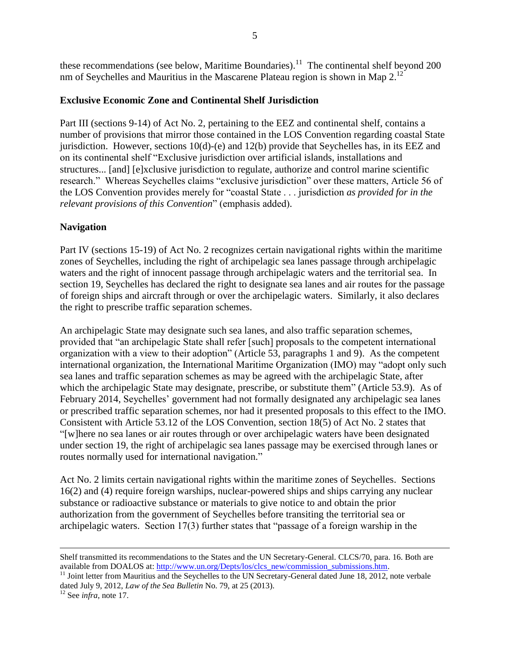these recommendations (see below, Maritime Boundaries).<sup>11</sup> The continental shelf beyond 200 nm of Seychelles and Mauritius in the Mascarene Plateau region is shown in Map  $2<sup>12</sup>$ 

## **Exclusive Economic Zone and Continental Shelf Jurisdiction**

Part III (sections 9-14) of Act No. 2, pertaining to the EEZ and continental shelf, contains a number of provisions that mirror those contained in the LOS Convention regarding coastal State jurisdiction. However, sections 10(d)-(e) and 12(b) provide that Seychelles has, in its EEZ and on its continental shelf "Exclusive jurisdiction over artificial islands, installations and structures... [and] [e]xclusive jurisdiction to regulate, authorize and control marine scientific research." Whereas Seychelles claims "exclusive jurisdiction" over these matters, Article 56 of the LOS Convention provides merely for "coastal State . . . jurisdiction *as provided for in the relevant provisions of this Convention*" (emphasis added).

## **Navigation**

Part IV (sections 15-19) of Act No. 2 recognizes certain navigational rights within the maritime zones of Seychelles, including the right of archipelagic sea lanes passage through archipelagic waters and the right of innocent passage through archipelagic waters and the territorial sea. In section 19, Seychelles has declared the right to designate sea lanes and air routes for the passage of foreign ships and aircraft through or over the archipelagic waters. Similarly, it also declares the right to prescribe traffic separation schemes.

An archipelagic State may designate such sea lanes, and also traffic separation schemes, provided that "an archipelagic State shall refer [such] proposals to the competent international organization with a view to their adoption" (Article 53, paragraphs 1 and 9). As the competent international organization, the International Maritime Organization (IMO) may "adopt only such sea lanes and traffic separation schemes as may be agreed with the archipelagic State, after which the archipelagic State may designate, prescribe, or substitute them" (Article 53.9). As of February 2014, Seychelles' government had not formally designated any archipelagic sea lanes or prescribed traffic separation schemes, nor had it presented proposals to this effect to the IMO. Consistent with Article 53.12 of the LOS Convention, section 18(5) of Act No. 2 states that "[w]here no sea lanes or air routes through or over archipelagic waters have been designated under section 19, the right of archipelagic sea lanes passage may be exercised through lanes or routes normally used for international navigation."

Act No. 2 limits certain navigational rights within the maritime zones of Seychelles. Sections 16(2) and (4) require foreign warships, nuclear-powered ships and ships carrying any nuclear substance or radioactive substance or materials to give notice to and obtain the prior authorization from the government of Seychelles before transiting the territorial sea or archipelagic waters. Section 17(3) further states that "passage of a foreign warship in the

 $\overline{\phantom{a}}$ 

Shelf transmitted its recommendations to the States and the UN Secretary-General. CLCS/70, para. 16. Both are available from DOALOS at: [http://www.un.org/Depts/los/clcs\\_new/commission\\_submissions.htm.](http://www.un.org/Depts/los/clcs_new/commission_submissions.htm)

<sup>&</sup>lt;sup>11</sup> Joint letter from Mauritius and the Seychelles to the UN Secretary-General dated June 18, 2012, note verbale dated July 9, 2012, *Law of the Sea Bulletin* No. 79, at 25 (2013).

<sup>12</sup> See *infra*, note 17.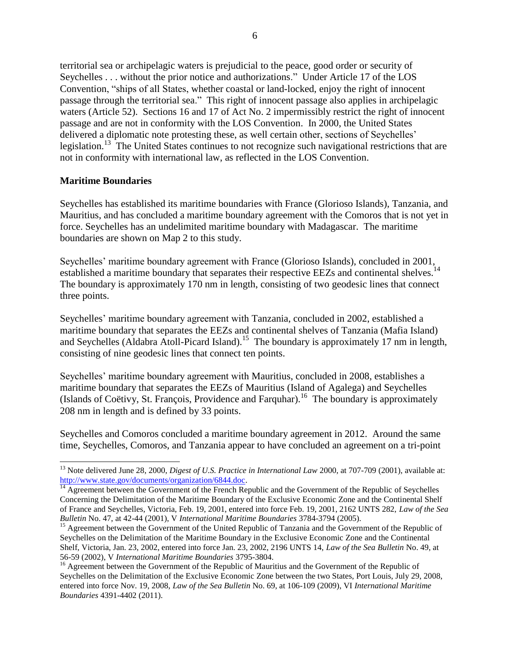territorial sea or archipelagic waters is prejudicial to the peace, good order or security of Seychelles . . . without the prior notice and authorizations." Under Article 17 of the LOS Convention, "ships of all States, whether coastal or land-locked, enjoy the right of innocent passage through the territorial sea." This right of innocent passage also applies in archipelagic waters (Article 52). Sections 16 and 17 of Act No. 2 impermissibly restrict the right of innocent passage and are not in conformity with the LOS Convention. In 2000, the United States delivered a diplomatic note protesting these, as well certain other, sections of Seychelles' legislation.<sup>13</sup> The United States continues to not recognize such navigational restrictions that are not in conformity with international law, as reflected in the LOS Convention.

## **Maritime Boundaries**

 $\overline{\phantom{a}}$ 

Seychelles has established its maritime boundaries with France (Glorioso Islands), Tanzania, and Mauritius, and has concluded a maritime boundary agreement with the Comoros that is not yet in force. Seychelles has an undelimited maritime boundary with Madagascar. The maritime boundaries are shown on Map 2 to this study.

Seychelles' maritime boundary agreement with France (Glorioso Islands), concluded in 2001, established a maritime boundary that separates their respective EEZs and continental shelves.<sup>14</sup> The boundary is approximately 170 nm in length, consisting of two geodesic lines that connect three points.

Seychelles' maritime boundary agreement with Tanzania, concluded in 2002, established a maritime boundary that separates the EEZs and continental shelves of Tanzania (Mafia Island) and Seychelles (Aldabra Atoll-Picard Island).<sup>15</sup> The boundary is approximately 17 nm in length, consisting of nine geodesic lines that connect ten points.

Seychelles' maritime boundary agreement with Mauritius, concluded in 2008, establishes a maritime boundary that separates the EEZs of Mauritius (Island of Agalega) and Seychelles (Islands of Coëtivy, St. François, Providence and Farquhar). <sup>16</sup> The boundary is approximately 208 nm in length and is defined by 33 points.

Seychelles and Comoros concluded a maritime boundary agreement in 2012. Around the same time, Seychelles, Comoros, and Tanzania appear to have concluded an agreement on a tri-point

<sup>&</sup>lt;sup>13</sup> Note delivered June 28, 2000, *Digest of U.S. Practice in International Law* 2000, at 707-709 (2001), available at: [http://www.state.gov/documents/organization/6844.doc.](http://www.state.gov/documents/organization/6844.doc)

<sup>&</sup>lt;sup>14</sup> Agreement between the Government of the French Republic and the Government of the Republic of Seychelles Concerning the Delimitation of the Maritime Boundary of the Exclusive Economic Zone and the Continental Shelf of France and Seychelles, Victoria, Feb. 19, 2001, entered into force Feb. 19, 2001, 2162 UNTS 282, *Law of the Sea Bulletin* No. 47, at 42-44 (2001), V *International Maritime Boundaries* 3784-3794 (2005).

<sup>&</sup>lt;sup>15</sup> Agreement between the Government of the United Republic of Tanzania and the Government of the Republic of Seychelles on the Delimitation of the Maritime Boundary in the Exclusive Economic Zone and the Continental Shelf, Victoria, Jan. 23, 2002, entered into force Jan. 23, 2002, 2196 UNTS 14, *Law of the Sea Bulletin* No. 49, at 56-59 (2002), V *International Maritime Boundaries* 3795-3804.

<sup>&</sup>lt;sup>16</sup> Agreement between the Government of the Republic of Mauritius and the Government of the Republic of Seychelles on the Delimitation of the Exclusive Economic Zone between the two States, Port Louis, July 29, 2008, entered into force Nov. 19, 2008, *Law of the Sea Bulletin* No. 69, at 106-109 (2009), VI *International Maritime Boundaries* 4391-4402 (2011).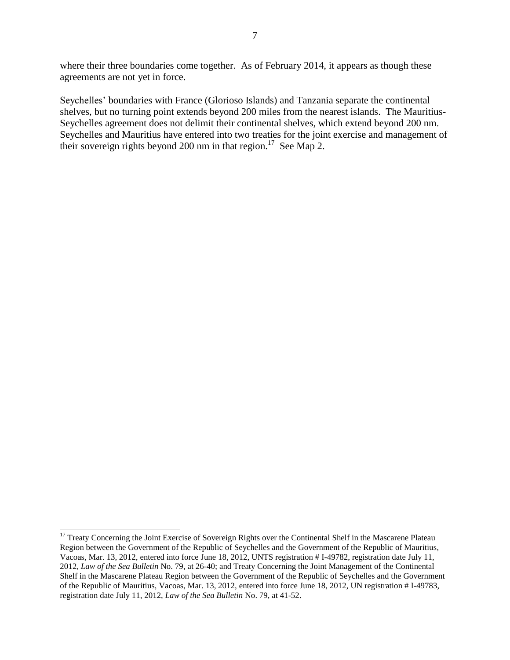where their three boundaries come together. As of February 2014, it appears as though these agreements are not yet in force.

Seychelles' boundaries with France (Glorioso Islands) and Tanzania separate the continental shelves, but no turning point extends beyond 200 miles from the nearest islands. The Mauritius-Seychelles agreement does not delimit their continental shelves, which extend beyond 200 nm. Seychelles and Mauritius have entered into two treaties for the joint exercise and management of their sovereign rights beyond 200 nm in that region.<sup>17</sup> See Map 2.

 $\overline{\phantom{a}}$ <sup>17</sup> Treaty Concerning the Joint Exercise of Sovereign Rights over the Continental Shelf in the Mascarene Plateau Region between the Government of the Republic of Seychelles and the Government of the Republic of Mauritius, Vacoas, Mar. 13, 2012, entered into force June 18, 2012, UNTS registration # I-49782, registration date July 11, 2012, *Law of the Sea Bulletin* No. 79, at 26-40; and Treaty Concerning the Joint Management of the Continental Shelf in the Mascarene Plateau Region between the Government of the Republic of Seychelles and the Government of the Republic of Mauritius, Vacoas, Mar. 13, 2012, entered into force June 18, 2012, UN registration # I-49783, registration date July 11, 2012, *Law of the Sea Bulletin* No. 79, at 41-52.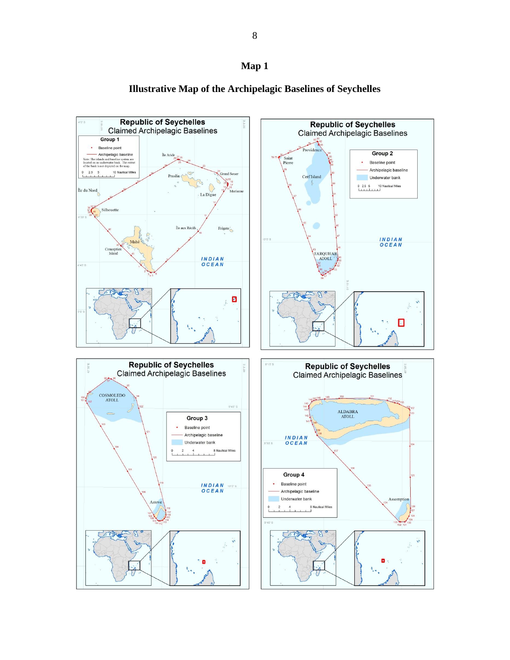



# **Illustrative Map of the Archipelagic Baselines of Seychelles**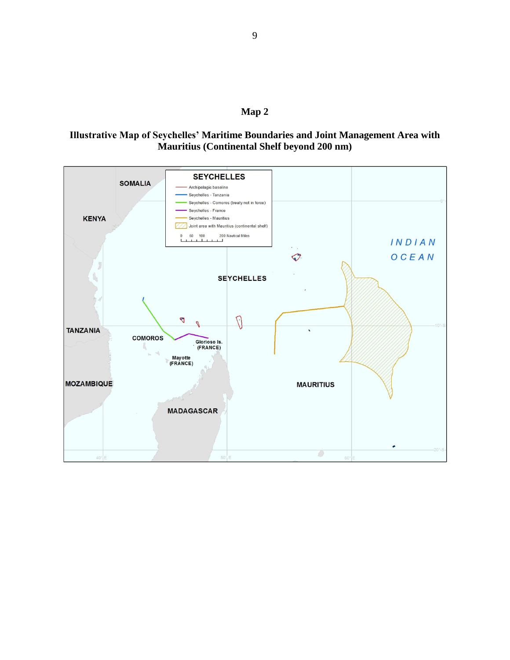

## **Illustrative Map of Seychelles' Maritime Boundaries and Joint Management Area with Mauritius (Continental Shelf beyond 200 nm)**

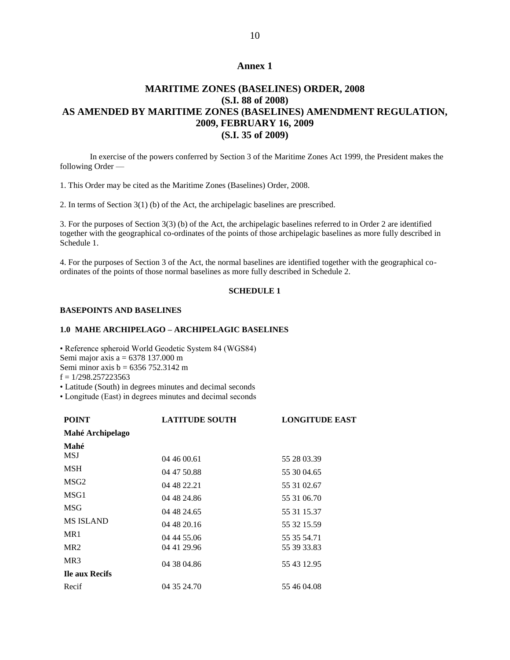#### **Annex 1**

## **MARITIME ZONES (BASELINES) ORDER, 2008 (S.I. 88 of 2008) AS AMENDED BY MARITIME ZONES (BASELINES) AMENDMENT REGULATION, 2009, FEBRUARY 16, 2009 (S.I. 35 of 2009)**

In exercise of the powers conferred by Section 3 of the Maritime Zones Act 1999, the President makes the following Order —

1. This Order may be cited as the Maritime Zones (Baselines) Order, 2008.

2. In terms of Section 3(1) (b) of the Act, the archipelagic baselines are prescribed.

3. For the purposes of Section 3(3) (b) of the Act, the archipelagic baselines referred to in Order 2 are identified together with the geographical co-ordinates of the points of those archipelagic baselines as more fully described in Schedule 1.

4. For the purposes of Section 3 of the Act, the normal baselines are identified together with the geographical coordinates of the points of those normal baselines as more fully described in Schedule 2.

#### **SCHEDULE 1**

#### **BASEPOINTS AND BASELINES**

#### **1.0 MAHE ARCHIPELAGO – ARCHIPELAGIC BASELINES**

• Reference spheroid World Geodetic System 84 (WGS84) Semi major axis a = 6378 137.000 m Semi minor axis  $b = 6356752.3142$  m  $f = 1/298.257223563$ • Latitude (South) in degrees minutes and decimal seconds

• Longitude (East) in degrees minutes and decimal seconds

| <b>POINT</b>          | <b>LATITUDE SOUTH</b> | <b>LONGITUDE EAST</b> |
|-----------------------|-----------------------|-----------------------|
| Mahé Archipelago      |                       |                       |
| Mahé                  |                       |                       |
| MSJ                   | 04 46 00.61           | 55 28 03.39           |
| <b>MSH</b>            | 04 47 50.88           | 55 30 04.65           |
| MSG <sub>2</sub>      | 04 48 22.21           | 55 31 02.67           |
| MSG1                  | 04 48 24.86           | 55 31 06.70           |
| <b>MSG</b>            | 04 48 24.65           | 55 31 15.37           |
| <b>MS ISLAND</b>      | 04 48 20.16           | 55 32 15.59           |
| MR1                   | 04 44 55.06           | 55 35 54.71           |
| MR <sub>2</sub>       | 04 41 29.96           | 55 39 33.83           |
| MR <sub>3</sub>       | 04 38 04.86           | 55 43 12.95           |
| <b>Ile aux Recifs</b> |                       |                       |
| Recif                 | 04 35 24.70           | 55 46 04.08           |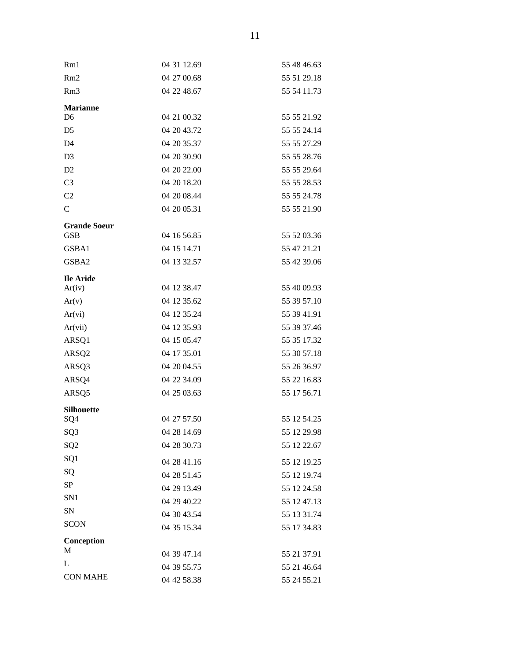| Rm1                 | 04 31 12.69 | 55 48 46.63 |
|---------------------|-------------|-------------|
| Rm2                 | 04 27 00.68 | 55 51 29.18 |
| Rm <sub>3</sub>     | 04 22 48.67 | 55 54 11.73 |
| <b>Marianne</b>     |             |             |
| D <sub>6</sub>      | 04 21 00.32 | 55 55 21.92 |
| D <sub>5</sub>      | 04 20 43.72 | 55 55 24.14 |
| D <sub>4</sub>      | 04 20 35.37 | 55 55 27.29 |
| D <sub>3</sub>      | 04 20 30.90 | 55 55 28.76 |
| D <sub>2</sub>      | 04 20 22:00 | 55 55 29.64 |
| C <sub>3</sub>      | 04 20 18.20 | 55 55 28.53 |
| C <sub>2</sub>      | 04 20 08:44 | 55 55 24.78 |
| $\mathsf{C}$        | 04 20 05.31 | 55 55 21.90 |
| <b>Grande Soeur</b> |             |             |
| <b>GSB</b>          | 04 16 56.85 | 55 52 03.36 |
| GSBA1               | 04 15 14.71 | 55 47 21.21 |
| GSBA2               | 04 13 32.57 | 55 42 39.06 |
| <b>Ile Aride</b>    |             |             |
| Ar(iv)              | 04 12 38.47 | 55 40 09.93 |
| Ar(v)               | 04 12 35.62 | 55 39 57.10 |
| Ar(vi)              | 04 12 35.24 | 55 39 41.91 |
| Ar(vii)             | 04 12 35.93 | 55 39 37.46 |
| ARSQ1               | 04 15 05.47 | 55 35 17.32 |
| ARSQ2               | 04 17 35.01 | 55 30 57.18 |
| ARSQ3               | 04 20 04.55 | 55 26 36.97 |
| ARSQ4               | 04 22 34.09 | 55 22 16.83 |
| ARSQ5               | 04 25 03.63 | 55 17 56.71 |
| <b>Silhouette</b>   |             |             |
| SQ4                 | 04 27 57.50 | 55 12 54.25 |
| SQ <sub>3</sub>     | 04 28 14.69 | 55 12 29.98 |
| SQ <sub>2</sub>     | 04 28 30.73 | 55 12 22.67 |
| SQ1                 | 04 28 41.16 | 55 12 19.25 |
| SQ                  | 04 28 51.45 | 55 12 19.74 |
| SP                  | 04 29 13.49 | 55 12 24.58 |
| SN1                 | 04 29 40.22 | 55 12 47.13 |
| <b>SN</b>           | 04 30 43.54 | 55 13 31.74 |
| <b>SCON</b>         | 04 35 15.34 | 55 17 34.83 |
| Conception          |             |             |
| M                   | 04 39 47.14 | 55 21 37.91 |
| L                   | 04 39 55.75 | 55 21 46.64 |
| <b>CON MAHE</b>     | 04 42 58.38 | 55 24 55.21 |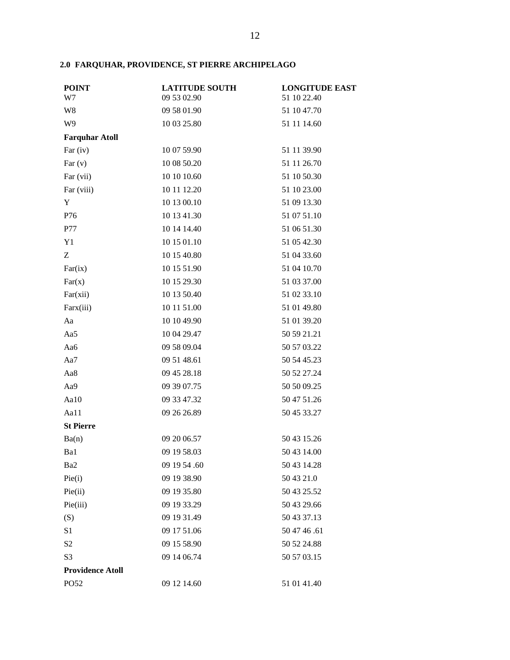## **2.0 FARQUHAR, PROVIDENCE, ST PIERRE ARCHIPELAGO**

| <b>POINT</b><br>W7      | <b>LATITUDE SOUTH</b><br>09 53 02.90 | <b>LONGITUDE EAST</b><br>51 10 22.40 |
|-------------------------|--------------------------------------|--------------------------------------|
| W8                      | 09 58 01.90                          | 51 10 47.70                          |
| W9                      | 10 03 25.80                          | 51 11 14.60                          |
| <b>Farquhar Atoll</b>   |                                      |                                      |
| Far $(iv)$              | 10 07 59.90                          | 51 11 39.90                          |
| Far $(v)$               | 10 08 50.20                          | 51 11 26.70                          |
| Far (vii)               | 10 10 10.60                          | 51 10 50.30                          |
| Far (viii)              | 10 11 12.20                          | 51 10 23.00                          |
| Y                       | 10 13 00.10                          | 51 09 13.30                          |
| P76                     | 10 13 41.30                          | 51 07 51.10                          |
| <b>P77</b>              | 10 14 14.40                          | 51 06 51.30                          |
| Y1                      | 10 15 01.10                          | 51 05 42.30                          |
| Ζ                       | 10 15 40.80                          | 51 04 33.60                          |
| Far(ix)                 | 10 15 51.90                          | 51 04 10.70                          |
| Far(x)                  | 10 15 29.30                          | 51 03 37.00                          |
| Far(xii)                | 10 13 50.40                          | 51 02 33.10                          |
| Farx(iii)               | 10 11 51.00                          | 51 01 49.80                          |
| Aa                      | 10 10 49.90                          | 51 01 39.20                          |
| Aa5                     | 10 04 29.47                          | 50 59 21.21                          |
| Aa6                     | 09 58 09.04                          | 50 57 03.22                          |
| Aa7                     | 09 51 48.61                          | 50 54 45.23                          |
| Aa8                     | 09 45 28.18                          | 50 52 27.24                          |
| Aa9                     | 09 39 07.75                          | 50 50 09.25                          |
| Aa10                    | 09 33 47.32                          | 50 47 51.26                          |
| Aa11                    | 09 26 26.89                          | 50 45 33.27                          |
| <b>St Pierre</b>        |                                      |                                      |
| Ba(n)                   | 09 20 06.57                          | 50 43 15.26                          |
| Ba1                     | 09 19 58.03                          | 50 43 14.00                          |
| Ba2                     | 09 19 54 .60                         | 50 43 14.28                          |
| Pie(i)                  | 09 19 38.90                          | 50 43 21.0                           |
| Pie(ii)                 | 09 19 35.80                          | 50 43 25.52                          |
| Pie(iii)                | 09 19 33.29                          | 50 43 29.66                          |
| (S)                     | 09 19 31.49                          | 50 43 37.13                          |
| S1                      | 09 17 51.06                          | 50 47 46 .61                         |
| S <sub>2</sub>          | 09 15 58.90                          | 50 52 24.88                          |
| S3                      | 09 14 06.74                          | 50 57 03.15                          |
| <b>Providence Atoll</b> |                                      |                                      |
| PO52                    | 09 12 14.60                          | 51 01 41.40                          |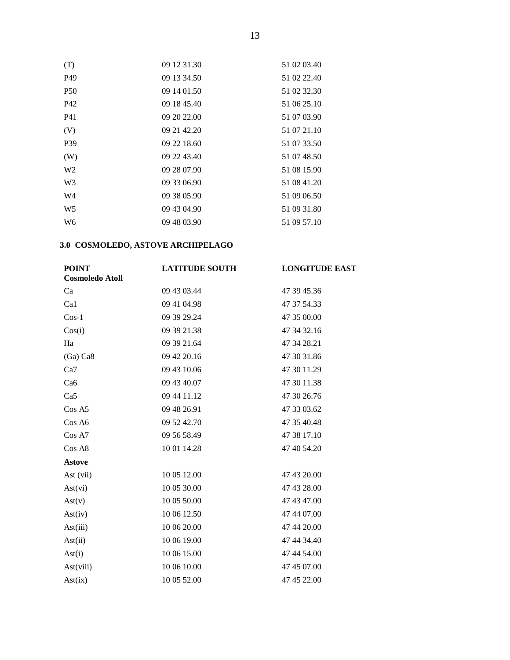| (T)            | 09 12 31.30 | 51 02 03.40 |
|----------------|-------------|-------------|
| P49            | 09 13 34.50 | 51 02 22.40 |
| <b>P50</b>     | 09 14 01.50 | 51 02 32.30 |
| P42            | 09 18 45.40 | 51 06 25.10 |
| P41            | 09 20 22.00 | 51 07 03.90 |
| (V)            | 09 21 42.20 | 51 07 21.10 |
| P39            | 09 22 18.60 | 51 07 33.50 |
| (W)            | 09 22 43.40 | 51 07 48.50 |
| W <sub>2</sub> | 09 28 07.90 | 51 08 15.90 |
| W <sub>3</sub> | 09 33 06.90 | 51 08 41.20 |
| W <sub>4</sub> | 09 38 05.90 | 51 09 06.50 |
| W <sub>5</sub> | 09 43 04.90 | 51 09 31.80 |
| W <sub>6</sub> | 09 48 03.90 | 51 09 57.10 |

## **3.0 COSMOLEDO, ASTOVE ARCHIPELAGO**

| <b>POINT</b><br><b>Cosmoledo Atoll</b> | <b>LATITUDE SOUTH</b> | <b>LONGITUDE EAST</b> |
|----------------------------------------|-----------------------|-----------------------|
| Ca                                     | 09 43 03.44           | 47 39 45.36           |
| Ca1                                    | 09 41 04.98           | 47 37 54.33           |
| $Cos-1$                                | 09 39 29.24           | 47 35 00.00           |
| Cos(i)                                 | 09 39 21.38           | 47 34 32.16           |
| Ha                                     | 09 39 21.64           | 47 34 28.21           |
| (Ga) Ca8                               | 09 42 20.16           | 47 30 31.86           |
| Ca7                                    | 09 43 10.06           | 47 30 11.29           |
| Ca6                                    | 09 43 40.07           | 47 30 11.38           |
| Ca <sub>5</sub>                        | 09 44 11.12           | 47 30 26.76           |
| Cos A5                                 | 09 48 26.91           | 47 33 03.62           |
| Cos A6                                 | 09 52 42.70           | 47 35 40.48           |
| Cos A7                                 | 09 56 58.49           | 47 38 17.10           |
| Cos A8                                 | 10 01 14.28           | 47 40 54.20           |
| <b>Astove</b>                          |                       |                       |
| Ast (vii)                              | 10 05 12.00           | 47 43 20.00           |
| Ast(vi)                                | 10 05 30.00           | 47 43 28.00           |
| $\text{Ast}(v)$                        | 10 05 50.00           | 47 43 47.00           |
| $\text{Ast}(iv)$                       | 10 06 12.50           | 47 44 07.00           |
| Ast(iii)                               | 10 06 20.00           | 47 44 20.00           |
| Ast(ii)                                | 10 06 19.00           | 47 44 34.40           |
| $\text{Ast}(i)$                        | 10 06 15.00           | 47 44 54.00           |
| Ast(viii)                              | 10 06 10.00           | 47 45 07.00           |
| Ast(ix)                                | 10 05 52.00           | 47 45 22.00           |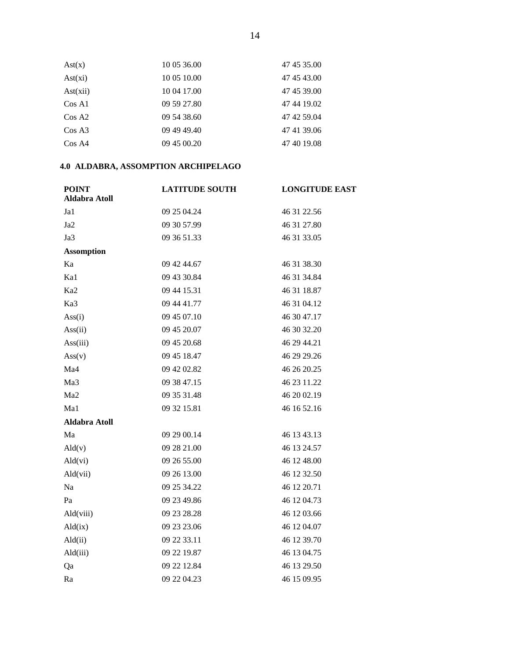| $\text{Ast}(x)$   | 10 05 36.00 | 47 45 35.00 |
|-------------------|-------------|-------------|
| $\text{Ast}(xi)$  | 10 05 10.00 | 47 45 43.00 |
| $\text{Ast}(xii)$ | 10 04 17.00 | 47 45 39.00 |
| Cos A1            | 09 59 27.80 | 47 44 19.02 |
| $\cos A2$         | 09 54 38.60 | 47 42 59.04 |
| Cos A3            | 09 49 49 40 | 47 41 39.06 |
| Cos A4            | 09 45 00.20 | 47 40 19.08 |

## **4.0 ALDABRA, ASSOMPTION ARCHIPELAGO**

| <b>POINT</b><br><b>Aldabra Atoll</b> | <b>LATITUDE SOUTH</b> | <b>LONGITUDE EAST</b> |
|--------------------------------------|-----------------------|-----------------------|
|                                      |                       |                       |
| Ja1                                  | 09 25 04.24           | 46 31 22.56           |
| Ja <sub>2</sub>                      | 09 30 57.99           | 46 31 27.80           |
| Ja3                                  | 09 36 51.33           | 46 31 33.05           |
| <b>Assomption</b>                    |                       |                       |
| Ka                                   | 09 42 44.67           | 46 31 38.30           |
| Ka1                                  | 09 43 30.84           | 46 31 34.84           |
| Ka <sub>2</sub>                      | 09 44 15.31           | 46 31 18.87           |
| Ka3                                  | 09 44 41.77           | 46 31 04.12           |
| Ass(i)                               | 09 45 07.10           | 46 30 47.17           |
| Ass(ii)                              | 09 45 20.07           | 46 30 32.20           |
| Ass(iii)                             | 09 45 20.68           | 46 29 44.21           |
| $\text{Ass}(v)$                      | 09 45 18.47           | 46 29 29.26           |
| Ma4                                  | 09 42 02.82           | 46 26 20.25           |
| Ma <sub>3</sub>                      | 09 38 47.15           | 46 23 11.22           |
| Ma2                                  | 09 35 31.48           | 46 20 02.19           |
| Ma1                                  | 09 32 15.81           | 46 16 52.16           |
| <b>Aldabra Atoll</b>                 |                       |                       |
| Ma                                   | 09 29 00.14           | 46 13 43.13           |
| Ald(v)                               | 09 28 21.00           | 46 13 24.57           |
| Ald(vi)                              | 09 26 55.00           | 46 12 48.00           |
| Ald(vii)                             | 09 26 13.00           | 46 12 32.50           |
| Na                                   | 09 25 34.22           | 46 12 20.71           |
| Pa                                   | 09 23 49.86           | 46 12 04.73           |
| Ald(viii)                            | 09 23 28.28           | 46 12 03.66           |
| Ald(ix)                              | 09 23 23.06           | 46 12 04.07           |
| Ald(ii)                              | 09 22 33.11           | 46 12 39.70           |
| Ald(iii)                             | 09 22 19.87           | 46 13 04.75           |
| Qa                                   | 09 22 12.84           | 46 13 29.50           |
| Ra                                   | 09 22 04.23           | 46 15 09.95           |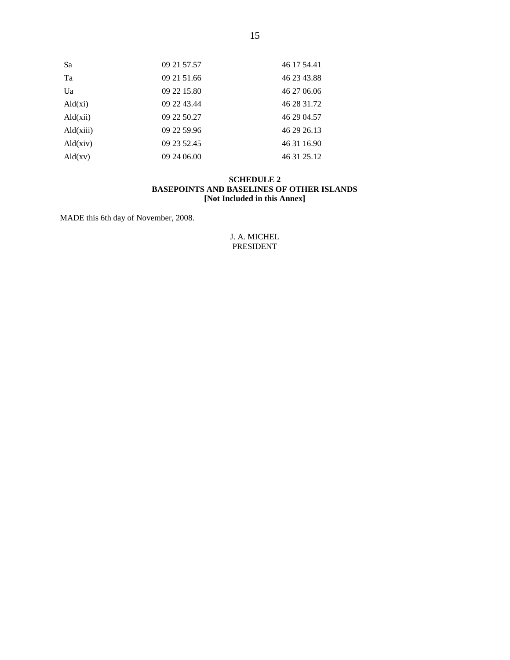| Sa        | 09 21 57.57 | 46 17 54.41 |
|-----------|-------------|-------------|
| Ta        | 09 21 51.66 | 46 23 43.88 |
| Ua        | 09 22 15.80 | 46 27 06.06 |
| Ald(xi)   | 09 22 43.44 | 46 28 31.72 |
| Ald(xii)  | 09 22 50.27 | 46 29 04.57 |
| Ald(xiii) | 09 22 59.96 | 46 29 26 13 |
| Ald(xiv)  | 09 23 52.45 | 46 31 16.90 |
| Ald(xv)   | 09 24 06.00 | 46 31 25.12 |

#### **SCHEDULE 2 BASEPOINTS AND BASELINES OF OTHER ISLANDS [Not Included in this Annex]**

MADE this 6th day of November, 2008.

#### J. A. MICHEL PRESIDENT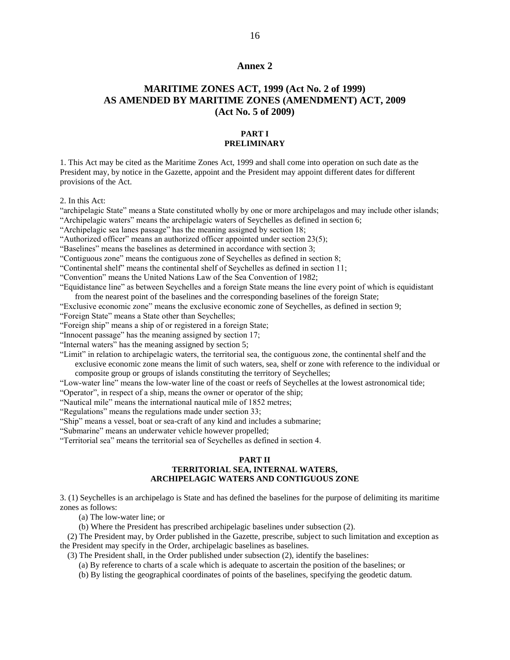#### **Annex 2**

## **MARITIME ZONES ACT, 1999 (Act No. 2 of 1999) AS AMENDED BY MARITIME ZONES (AMENDMENT) ACT, 2009 (Act No. 5 of 2009)**

#### **PART I PRELIMINARY**

1. This Act may be cited as the Maritime Zones Act, 1999 and shall come into operation on such date as the President may, by notice in the Gazette, appoint and the President may appoint different dates for different provisions of the Act.

2. In this Act:

"archipelagic State" means a State constituted wholly by one or more archipelagos and may include other islands; "Archipelagic waters" means the archipelagic waters of Seychelles as defined in section 6;

"Archipelagic sea lanes passage" has the meaning assigned by section 18;

"Authorized officer" means an authorized officer appointed under section 23(5);

"Baselines" means the baselines as determined in accordance with section 3;

"Contiguous zone" means the contiguous zone of Seychelles as defined in section 8;

"Continental shelf" means the continental shelf of Seychelles as defined in section 11;

"Convention" means the United Nations Law of the Sea Convention of 1982;

"Equidistance line" as between Seychelles and a foreign State means the line every point of which is equidistant from the nearest point of the baselines and the corresponding baselines of the foreign State;

"Exclusive economic zone" means the exclusive economic zone of Seychelles, as defined in section 9;

"Foreign State" means a State other than Seychelles;

"Foreign ship" means a ship of or registered in a foreign State;

"Innocent passage" has the meaning assigned by section 17;

"Internal waters" has the meaning assigned by section 5;

"Limit" in relation to archipelagic waters, the territorial sea, the contiguous zone, the continental shelf and the exclusive economic zone means the limit of such waters, sea, shelf or zone with reference to the individual or composite group or groups of islands constituting the territory of Seychelles;

"Low-water line" means the low-water line of the coast or reefs of Seychelles at the lowest astronomical tide;

"Operator", in respect of a ship, means the owner or operator of the ship;

"Nautical mile" means the international nautical mile of 1852 metres;

"Regulations" means the regulations made under section 33;

"Ship" means a vessel, boat or sea-craft of any kind and includes a submarine;

"Submarine" means an underwater vehicle however propelled;

"Territorial sea" means the territorial sea of Seychelles as defined in section 4.

#### **PART II**

#### **TERRITORIAL SEA, INTERNAL WATERS, ARCHIPELAGIC WATERS AND CONTIGUOUS ZONE**

3. (1) Seychelles is an archipelago is State and has defined the baselines for the purpose of delimiting its maritime zones as follows:

(a) The low-water line; or

(b) Where the President has prescribed archipelagic baselines under subsection (2).

(2) The President may, by Order published in the Gazette, prescribe, subject to such limitation and exception as the President may specify in the Order, archipelagic baselines as baselines.

(3) The President shall, in the Order published under subsection (2), identify the baselines:

(a) By reference to charts of a scale which is adequate to ascertain the position of the baselines; or

(b) By listing the geographical coordinates of points of the baselines, specifying the geodetic datum.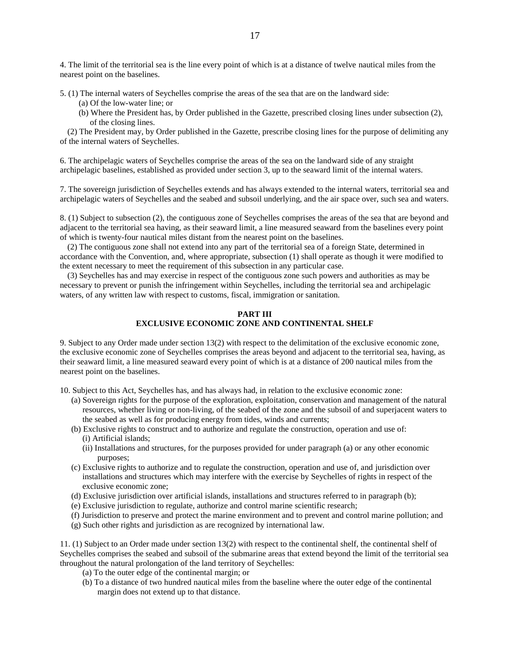4. The limit of the territorial sea is the line every point of which is at a distance of twelve nautical miles from the nearest point on the baselines.

5. (1) The internal waters of Seychelles comprise the areas of the sea that are on the landward side:

- (a) Of the low-water line; or
- (b) Where the President has, by Order published in the Gazette, prescribed closing lines under subsection (2), of the closing lines.

(2) The President may, by Order published in the Gazette, prescribe closing lines for the purpose of delimiting any of the internal waters of Seychelles.

6. The archipelagic waters of Seychelles comprise the areas of the sea on the landward side of any straight archipelagic baselines, established as provided under section 3, up to the seaward limit of the internal waters.

7. The sovereign jurisdiction of Seychelles extends and has always extended to the internal waters, territorial sea and archipelagic waters of Seychelles and the seabed and subsoil underlying, and the air space over, such sea and waters.

8. (1) Subject to subsection (2), the contiguous zone of Seychelles comprises the areas of the sea that are beyond and adjacent to the territorial sea having, as their seaward limit, a line measured seaward from the baselines every point of which is twenty-four nautical miles distant from the nearest point on the baselines.

(2) The contiguous zone shall not extend into any part of the territorial sea of a foreign State, determined in accordance with the Convention, and, where appropriate, subsection (1) shall operate as though it were modified to the extent necessary to meet the requirement of this subsection in any particular case.

(3) Seychelles has and may exercise in respect of the contiguous zone such powers and authorities as may be necessary to prevent or punish the infringement within Seychelles, including the territorial sea and archipelagic waters, of any written law with respect to customs, fiscal, immigration or sanitation.

#### **PART III EXCLUSIVE ECONOMIC ZONE AND CONTINENTAL SHELF**

9. Subject to any Order made under section 13(2) with respect to the delimitation of the exclusive economic zone, the exclusive economic zone of Seychelles comprises the areas beyond and adjacent to the territorial sea, having, as their seaward limit, a line measured seaward every point of which is at a distance of 200 nautical miles from the nearest point on the baselines.

- 10. Subject to this Act, Seychelles has, and has always had, in relation to the exclusive economic zone:
	- (a) Sovereign rights for the purpose of the exploration, exploitation, conservation and management of the natural resources, whether living or non-living, of the seabed of the zone and the subsoil of and superjacent waters to the seabed as well as for producing energy from tides, winds and currents;
	- (b) Exclusive rights to construct and to authorize and regulate the construction, operation and use of: (i) Artificial islands;
		- (ii) Installations and structures, for the purposes provided for under paragraph (a) or any other economic purposes;
	- (c) Exclusive rights to authorize and to regulate the construction, operation and use of, and jurisdiction over installations and structures which may interfere with the exercise by Seychelles of rights in respect of the exclusive economic zone;
	- (d) Exclusive jurisdiction over artificial islands, installations and structures referred to in paragraph (b);
	- (e) Exclusive jurisdiction to regulate, authorize and control marine scientific research;
	- (f) Jurisdiction to preserve and protect the marine environment and to prevent and control marine pollution; and
	- (g) Such other rights and jurisdiction as are recognized by international law.

11. (1) Subject to an Order made under section 13(2) with respect to the continental shelf, the continental shelf of Seychelles comprises the seabed and subsoil of the submarine areas that extend beyond the limit of the territorial sea throughout the natural prolongation of the land territory of Seychelles:

- (a) To the outer edge of the continental margin; or
- (b) To a distance of two hundred nautical miles from the baseline where the outer edge of the continental margin does not extend up to that distance.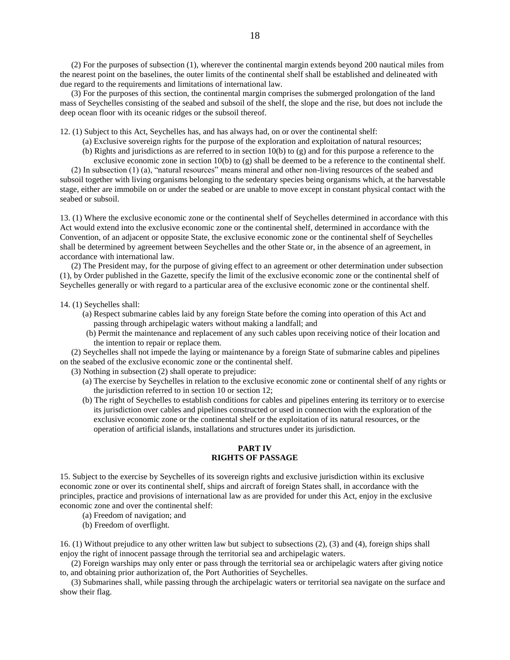(2) For the purposes of subsection (1), wherever the continental margin extends beyond 200 nautical miles from the nearest point on the baselines, the outer limits of the continental shelf shall be established and delineated with due regard to the requirements and limitations of international law.

(3) For the purposes of this section, the continental margin comprises the submerged prolongation of the land mass of Seychelles consisting of the seabed and subsoil of the shelf, the slope and the rise, but does not include the deep ocean floor with its oceanic ridges or the subsoil thereof.

12. (1) Subject to this Act, Seychelles has, and has always had, on or over the continental shelf:

- (a) Exclusive sovereign rights for the purpose of the exploration and exploitation of natural resources;
- (b) Rights and jurisdictions as are referred to in section 10(b) to (g) and for this purpose a reference to the exclusive economic zone in section 10(b) to (g) shall be deemed to be a reference to the continental shelf.

(2) In subsection (1) (a), "natural resources" means mineral and other non-living resources of the seabed and subsoil together with living organisms belonging to the sedentary species being organisms which, at the harvestable stage, either are immobile on or under the seabed or are unable to move except in constant physical contact with the seabed or subsoil.

13. (1) Where the exclusive economic zone or the continental shelf of Seychelles determined in accordance with this Act would extend into the exclusive economic zone or the continental shelf, determined in accordance with the Convention, of an adjacent or opposite State, the exclusive economic zone or the continental shelf of Seychelles shall be determined by agreement between Seychelles and the other State or, in the absence of an agreement, in accordance with international law.

(2) The President may, for the purpose of giving effect to an agreement or other determination under subsection (1), by Order published in the Gazette, specify the limit of the exclusive economic zone or the continental shelf of Seychelles generally or with regard to a particular area of the exclusive economic zone or the continental shelf.

14. (1) Seychelles shall:

- (a) Respect submarine cables laid by any foreign State before the coming into operation of this Act and passing through archipelagic waters without making a landfall; and
- (b) Permit the maintenance and replacement of any such cables upon receiving notice of their location and the intention to repair or replace them.

(2) Seychelles shall not impede the laying or maintenance by a foreign State of submarine cables and pipelines on the seabed of the exclusive economic zone or the continental shelf.

(3) Nothing in subsection (2) shall operate to prejudice:

- (a) The exercise by Seychelles in relation to the exclusive economic zone or continental shelf of any rights or the jurisdiction referred to in section 10 or section 12;
- (b) The right of Seychelles to establish conditions for cables and pipelines entering its territory or to exercise its jurisdiction over cables and pipelines constructed or used in connection with the exploration of the exclusive economic zone or the continental shelf or the exploitation of its natural resources, or the operation of artificial islands, installations and structures under its jurisdiction.

#### **PART IV RIGHTS OF PASSAGE**

15. Subject to the exercise by Seychelles of its sovereign rights and exclusive jurisdiction within its exclusive economic zone or over its continental shelf, ships and aircraft of foreign States shall, in accordance with the principles, practice and provisions of international law as are provided for under this Act, enjoy in the exclusive economic zone and over the continental shelf:

- (a) Freedom of navigation; and
- (b) Freedom of overflight.

16. (1) Without prejudice to any other written law but subject to subsections (2), (3) and (4), foreign ships shall enjoy the right of innocent passage through the territorial sea and archipelagic waters.

(2) Foreign warships may only enter or pass through the territorial sea or archipelagic waters after giving notice to, and obtaining prior authorization of, the Port Authorities of Seychelles.

(3) Submarines shall, while passing through the archipelagic waters or territorial sea navigate on the surface and show their flag.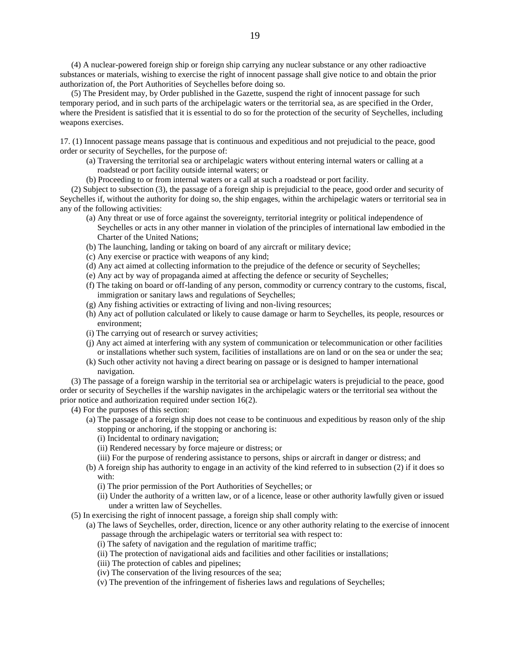(4) A nuclear-powered foreign ship or foreign ship carrying any nuclear substance or any other radioactive substances or materials, wishing to exercise the right of innocent passage shall give notice to and obtain the prior authorization of, the Port Authorities of Seychelles before doing so.

(5) The President may, by Order published in the Gazette, suspend the right of innocent passage for such temporary period, and in such parts of the archipelagic waters or the territorial sea, as are specified in the Order, where the President is satisfied that it is essential to do so for the protection of the security of Seychelles, including weapons exercises.

17. (1) Innocent passage means passage that is continuous and expeditious and not prejudicial to the peace, good order or security of Seychelles, for the purpose of:

- (a) Traversing the territorial sea or archipelagic waters without entering internal waters or calling at a roadstead or port facility outside internal waters; or
- (b) Proceeding to or from internal waters or a call at such a roadstead or port facility.

(2) Subject to subsection (3), the passage of a foreign ship is prejudicial to the peace, good order and security of Seychelles if, without the authority for doing so, the ship engages, within the archipelagic waters or territorial sea in any of the following activities:

- (a) Any threat or use of force against the sovereignty, territorial integrity or political independence of Seychelles or acts in any other manner in violation of the principles of international law embodied in the Charter of the United Nations;
- (b) The launching, landing or taking on board of any aircraft or military device;
- (c) Any exercise or practice with weapons of any kind;
- (d) Any act aimed at collecting information to the prejudice of the defence or security of Seychelles;
- (e) Any act by way of propaganda aimed at affecting the defence or security of Seychelles;
- (f) The taking on board or off-landing of any person, commodity or currency contrary to the customs, fiscal, immigration or sanitary laws and regulations of Seychelles:
- (g) Any fishing activities or extracting of living and non-living resources;
- (h) Any act of pollution calculated or likely to cause damage or harm to Seychelles, its people, resources or environment;
- (i) The carrying out of research or survey activities;
- (j) Any act aimed at interfering with any system of communication or telecommunication or other facilities or installations whether such system, facilities of installations are on land or on the sea or under the sea;
- (k) Such other activity not having a direct bearing on passage or is designed to hamper international navigation.

(3) The passage of a foreign warship in the territorial sea or archipelagic waters is prejudicial to the peace, good order or security of Seychelles if the warship navigates in the archipelagic waters or the territorial sea without the prior notice and authorization required under section 16(2).

(4) For the purposes of this section:

- (a) The passage of a foreign ship does not cease to be continuous and expeditious by reason only of the ship stopping or anchoring, if the stopping or anchoring is:
	- (i) Incidental to ordinary navigation;
	- (ii) Rendered necessary by force majeure or distress; or
	- (iii) For the purpose of rendering assistance to persons, ships or aircraft in danger or distress; and
- (b) A foreign ship has authority to engage in an activity of the kind referred to in subsection (2) if it does so with:
	- (i) The prior permission of the Port Authorities of Seychelles; or
	- (ii) Under the authority of a written law, or of a licence, lease or other authority lawfully given or issued under a written law of Seychelles.
- (5) In exercising the right of innocent passage, a foreign ship shall comply with:
	- (a) The laws of Seychelles, order, direction, licence or any other authority relating to the exercise of innocent passage through the archipelagic waters or territorial sea with respect to:
		- (i) The safety of navigation and the regulation of maritime traffic;
		- (ii) The protection of navigational aids and facilities and other facilities or installations;
		- (iii) The protection of cables and pipelines;
		- (iv) The conservation of the living resources of the sea;
		- (v) The prevention of the infringement of fisheries laws and regulations of Seychelles;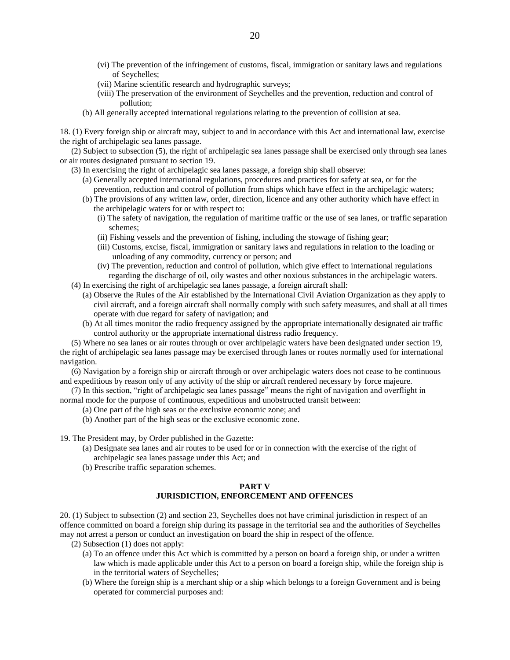- (vi) The prevention of the infringement of customs, fiscal, immigration or sanitary laws and regulations of Seychelles;
- (vii) Marine scientific research and hydrographic surveys;
- (viii) The preservation of the environment of Seychelles and the prevention, reduction and control of pollution;
- (b) All generally accepted international regulations relating to the prevention of collision at sea.

18. (1) Every foreign ship or aircraft may, subject to and in accordance with this Act and international law, exercise the right of archipelagic sea lanes passage.

(2) Subject to subsection (5), the right of archipelagic sea lanes passage shall be exercised only through sea lanes or air routes designated pursuant to section 19.

- (3) In exercising the right of archipelagic sea lanes passage, a foreign ship shall observe:
	- (a) Generally accepted international regulations, procedures and practices for safety at sea, or for the prevention, reduction and control of pollution from ships which have effect in the archipelagic waters;
	- (b) The provisions of any written law, order, direction, licence and any other authority which have effect in the archipelagic waters for or with respect to:
		- (i) The safety of navigation, the regulation of maritime traffic or the use of sea lanes, or traffic separation schemes;
		- (ii) Fishing vessels and the prevention of fishing, including the stowage of fishing gear;
		- (iii) Customs, excise, fiscal, immigration or sanitary laws and regulations in relation to the loading or unloading of any commodity, currency or person; and
		- (iv) The prevention, reduction and control of pollution, which give effect to international regulations regarding the discharge of oil, oily wastes and other noxious substances in the archipelagic waters.
- (4) In exercising the right of archipelagic sea lanes passage, a foreign aircraft shall:
	- (a) Observe the Rules of the Air established by the International Civil Aviation Organization as they apply to civil aircraft, and a foreign aircraft shall normally comply with such safety measures, and shall at all times operate with due regard for safety of navigation; and
	- (b) At all times monitor the radio frequency assigned by the appropriate internationally designated air traffic control authority or the appropriate international distress radio frequency.

(5) Where no sea lanes or air routes through or over archipelagic waters have been designated under section 19, the right of archipelagic sea lanes passage may be exercised through lanes or routes normally used for international navigation.

(6) Navigation by a foreign ship or aircraft through or over archipelagic waters does not cease to be continuous and expeditious by reason only of any activity of the ship or aircraft rendered necessary by force majeure.

(7) In this section, "right of archipelagic sea lanes passage" means the right of navigation and overflight in normal mode for the purpose of continuous, expeditious and unobstructed transit between:

(a) One part of the high seas or the exclusive economic zone; and

(b) Another part of the high seas or the exclusive economic zone.

19. The President may, by Order published in the Gazette:

- (a) Designate sea lanes and air routes to be used for or in connection with the exercise of the right of archipelagic sea lanes passage under this Act; and
- (b) Prescribe traffic separation schemes.

#### **PART V JURISDICTION, ENFORCEMENT AND OFFENCES**

20. (1) Subject to subsection (2) and section 23, Seychelles does not have criminal jurisdiction in respect of an offence committed on board a foreign ship during its passage in the territorial sea and the authorities of Seychelles may not arrest a person or conduct an investigation on board the ship in respect of the offence.

(2) Subsection (1) does not apply:

- (a) To an offence under this Act which is committed by a person on board a foreign ship, or under a written law which is made applicable under this Act to a person on board a foreign ship, while the foreign ship is in the territorial waters of Seychelles;
- (b) Where the foreign ship is a merchant ship or a ship which belongs to a foreign Government and is being operated for commercial purposes and: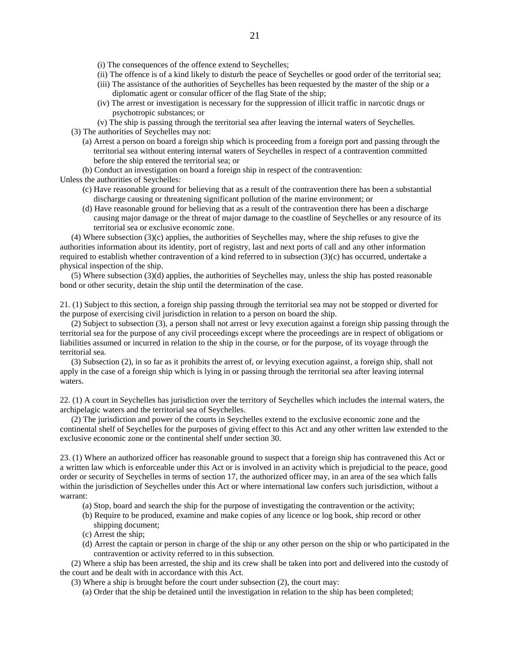(i) The consequences of the offence extend to Seychelles;

- (ii) The offence is of a kind likely to disturb the peace of Seychelles or good order of the territorial sea;
- (iii) The assistance of the authorities of Seychelles has been requested by the master of the ship or a diplomatic agent or consular officer of the flag State of the ship;
- (iv) The arrest or investigation is necessary for the suppression of illicit traffic in narcotic drugs or psychotropic substances; or

(v) The ship is passing through the territorial sea after leaving the internal waters of Seychelles. (3) The authorities of Seychelles may not:

(a) Arrest a person on board a foreign ship which is proceeding from a foreign port and passing through the territorial sea without entering internal waters of Seychelles in respect of a contravention committed before the ship entered the territorial sea; or

(b) Conduct an investigation on board a foreign ship in respect of the contravention:

Unless the authorities of Seychelles:

- (c) Have reasonable ground for believing that as a result of the contravention there has been a substantial discharge causing or threatening significant pollution of the marine environment; or
- (d) Have reasonable ground for believing that as a result of the contravention there has been a discharge causing major damage or the threat of major damage to the coastline of Seychelles or any resource of its territorial sea or exclusive economic zone.

 $(4)$  Where subsection  $(3)(c)$  applies, the authorities of Seychelles may, where the ship refuses to give the authorities information about its identity, port of registry, last and next ports of call and any other information required to establish whether contravention of a kind referred to in subsection (3)(c) has occurred, undertake a physical inspection of the ship.

(5) Where subsection (3)(d) applies, the authorities of Seychelles may, unless the ship has posted reasonable bond or other security, detain the ship until the determination of the case.

21. (1) Subject to this section, a foreign ship passing through the territorial sea may not be stopped or diverted for the purpose of exercising civil jurisdiction in relation to a person on board the ship.

(2) Subject to subsection (3), a person shall not arrest or levy execution against a foreign ship passing through the territorial sea for the purpose of any civil proceedings except where the proceedings are in respect of obligations or liabilities assumed or incurred in relation to the ship in the course, or for the purpose, of its voyage through the territorial sea.

(3) Subsection (2), in so far as it prohibits the arrest of, or levying execution against, a foreign ship, shall not apply in the case of a foreign ship which is lying in or passing through the territorial sea after leaving internal waters.

22. (1) A court in Seychelles has jurisdiction over the territory of Seychelles which includes the internal waters, the archipelagic waters and the territorial sea of Seychelles.

(2) The jurisdiction and power of the courts in Seychelles extend to the exclusive economic zone and the continental shelf of Seychelles for the purposes of giving effect to this Act and any other written law extended to the exclusive economic zone or the continental shelf under section 30.

23. (1) Where an authorized officer has reasonable ground to suspect that a foreign ship has contravened this Act or a written law which is enforceable under this Act or is involved in an activity which is prejudicial to the peace, good order or security of Seychelles in terms of section 17, the authorized officer may, in an area of the sea which falls within the jurisdiction of Seychelles under this Act or where international law confers such jurisdiction, without a warrant:

(a) Stop, board and search the ship for the purpose of investigating the contravention or the activity;

- (b) Require to be produced, examine and make copies of any licence or log book, ship record or other shipping document;
- (c) Arrest the ship;
- (d) Arrest the captain or person in charge of the ship or any other person on the ship or who participated in the contravention or activity referred to in this subsection.

(2) Where a ship has been arrested, the ship and its crew shall be taken into port and delivered into the custody of the court and be dealt with in accordance with this Act.

(3) Where a ship is brought before the court under subsection (2), the court may:

(a) Order that the ship be detained until the investigation in relation to the ship has been completed;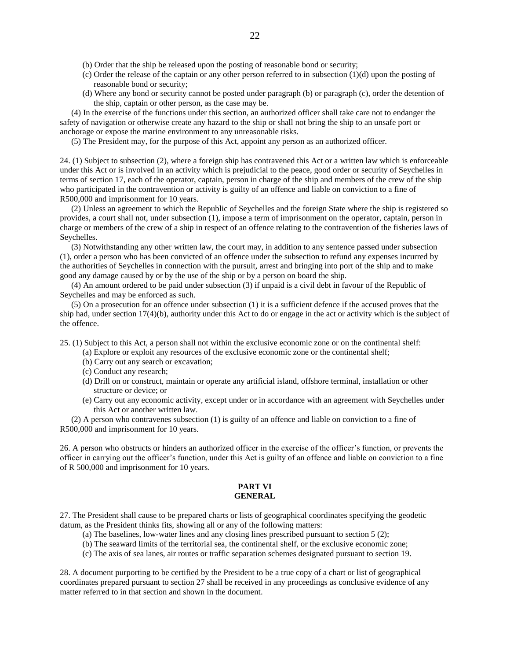- (b) Order that the ship be released upon the posting of reasonable bond or security;
- (c) Order the release of the captain or any other person referred to in subsection (1)(d) upon the posting of reasonable bond or security;
- (d) Where any bond or security cannot be posted under paragraph (b) or paragraph (c), order the detention of the ship, captain or other person, as the case may be.

(4) In the exercise of the functions under this section, an authorized officer shall take care not to endanger the safety of navigation or otherwise create any hazard to the ship or shall not bring the ship to an unsafe port or anchorage or expose the marine environment to any unreasonable risks.

(5) The President may, for the purpose of this Act, appoint any person as an authorized officer.

24. (1) Subject to subsection (2), where a foreign ship has contravened this Act or a written law which is enforceable under this Act or is involved in an activity which is prejudicial to the peace, good order or security of Seychelles in terms of section 17, each of the operator, captain, person in charge of the ship and members of the crew of the ship who participated in the contravention or activity is guilty of an offence and liable on conviction to a fine of R500,000 and imprisonment for 10 years.

(2) Unless an agreement to which the Republic of Seychelles and the foreign State where the ship is registered so provides, a court shall not, under subsection (1), impose a term of imprisonment on the operator, captain, person in charge or members of the crew of a ship in respect of an offence relating to the contravention of the fisheries laws of Seychelles.

(3) Notwithstanding any other written law, the court may, in addition to any sentence passed under subsection (1), order a person who has been convicted of an offence under the subsection to refund any expenses incurred by the authorities of Seychelles in connection with the pursuit, arrest and bringing into port of the ship and to make good any damage caused by or by the use of the ship or by a person on board the ship.

(4) An amount ordered to be paid under subsection (3) if unpaid is a civil debt in favour of the Republic of Seychelles and may be enforced as such.

(5) On a prosecution for an offence under subsection (1) it is a sufficient defence if the accused proves that the ship had, under section 17(4)(b), authority under this Act to do or engage in the act or activity which is the subject of the offence.

25. (1) Subject to this Act, a person shall not within the exclusive economic zone or on the continental shelf:

- (a) Explore or exploit any resources of the exclusive economic zone or the continental shelf;
- (b) Carry out any search or excavation;
- (c) Conduct any research;
- (d) Drill on or construct, maintain or operate any artificial island, offshore terminal, installation or other structure or device; or
- (e) Carry out any economic activity, except under or in accordance with an agreement with Seychelles under this Act or another written law.

(2) A person who contravenes subsection (1) is guilty of an offence and liable on conviction to a fine of R500,000 and imprisonment for 10 years.

26. A person who obstructs or hinders an authorized officer in the exercise of the officer's function, or prevents the officer in carrying out the officer's function, under this Act is guilty of an offence and liable on conviction to a fine of R 500,000 and imprisonment for 10 years.

#### **PART VI GENERAL**

27. The President shall cause to be prepared charts or lists of geographical coordinates specifying the geodetic datum, as the President thinks fits, showing all or any of the following matters:

(a) The baselines, low-water lines and any closing lines prescribed pursuant to section 5 (2);

(b) The seaward limits of the territorial sea, the continental shelf, or the exclusive economic zone;

(c) The axis of sea lanes, air routes or traffic separation schemes designated pursuant to section 19.

28. A document purporting to be certified by the President to be a true copy of a chart or list of geographical coordinates prepared pursuant to section 27 shall be received in any proceedings as conclusive evidence of any matter referred to in that section and shown in the document.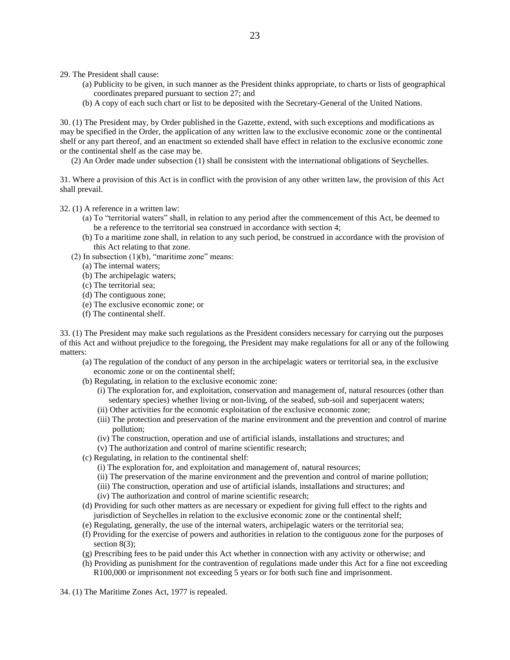29. The President shall cause:

- (a) Publicity to be given, in such manner as the President thinks appropriate, to charts or lists of geographical coordinates prepared pursuant to section 27; and
- (b) A copy of each such chart or list to be deposited with the Secretary-General of the United Nations.

30. (1) The President may, by Order published in the Gazette, extend, with such exceptions and modifications as may be specified in the Order, the application of any written law to the exclusive economic zone or the continental shelf or any part thereof, and an enactment so extended shall have effect in relation to the exclusive economic zone or the continental shelf as the case may be.

(2) An Order made under subsection (1) shall be consistent with the international obligations of Seychelles.

31. Where a provision of this Act is in conflict with the provision of any other written law, the provision of this Act shall prevail.

#### 32. (1) A reference in a written law:

- (a) To "territorial waters" shall, in relation to any period after the commencement of this Act, be deemed to be a reference to the territorial sea construed in accordance with section 4;
- (b) To a maritime zone shall, in relation to any such period, be construed in accordance with the provision of this Act relating to that zone.
- (2) In subsection  $(1)(b)$ , "maritime zone" means:
	- (a) The internal waters;
	- (b) The archipelagic waters;
	- (c) The territorial sea;
	- (d) The contiguous zone;
	- (e) The exclusive economic zone; or
	- (f) The continental shelf.

33. (1) The President may make such regulations as the President considers necessary for carrying out the purposes of this Act and without prejudice to the foregoing, the President may make regulations for all or any of the following matters:

- (a) The regulation of the conduct of any person in the archipelagic waters or territorial sea, in the exclusive economic zone or on the continental shelf;
- (b) Regulating, in relation to the exclusive economic zone:
	- (i) The exploration for, and exploitation, conservation and management of, natural resources (other than sedentary species) whether living or non-living, of the seabed, sub-soil and superjacent waters;
	- (ii) Other activities for the economic exploitation of the exclusive economic zone;
	- (iii) The protection and preservation of the marine environment and the prevention and control of marine pollution;
	- (iv) The construction, operation and use of artificial islands, installations and structures; and
	- (v) The authorization and control of marine scientific research;
- (c) Regulating, in relation to the continental shelf:
	- (i) The exploration for, and exploitation and management of, natural resources;
	- (ii) The preservation of the marine environment and the prevention and control of marine pollution;
	- (iii) The construction, operation and use of artificial islands, installations and structures; and
	- (iv) The authorization and control of marine scientific research;
- (d) Providing for such other matters as are necessary or expedient for giving full effect to the rights and jurisdiction of Seychelles in relation to the exclusive economic zone or the continental shelf;
- (e) Regulating, generally, the use of the internal waters, archipelagic waters or the territorial sea;
- (f) Providing for the exercise of powers and authorities in relation to the contiguous zone for the purposes of section 8(3);
- (g) Prescribing fees to be paid under this Act whether in connection with any activity or otherwise; and
- (h) Providing as punishment for the contravention of regulations made under this Act for a fine not exceeding R100,000 or imprisonment not exceeding 5 years or for both such fine and imprisonment.
- 34. (1) The Maritime Zones Act, 1977 is repealed.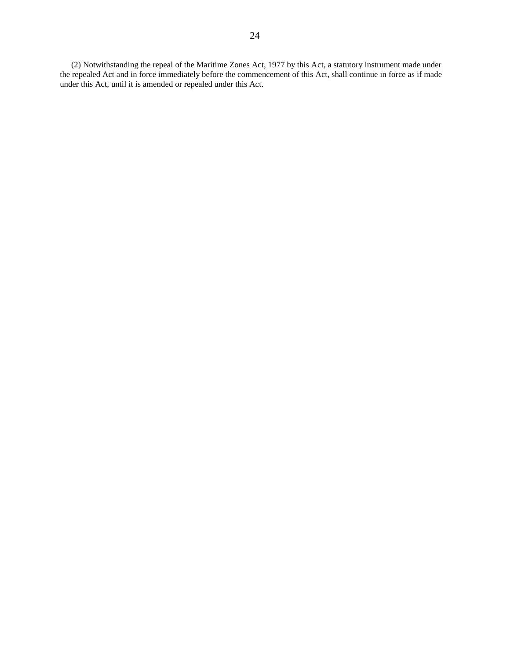(2) Notwithstanding the repeal of the Maritime Zones Act, 1977 by this Act, a statutory instrument made under the repealed Act and in force immediately before the commencement of this Act, shall continue in force as if made under this Act, until it is amended or repealed under this Act.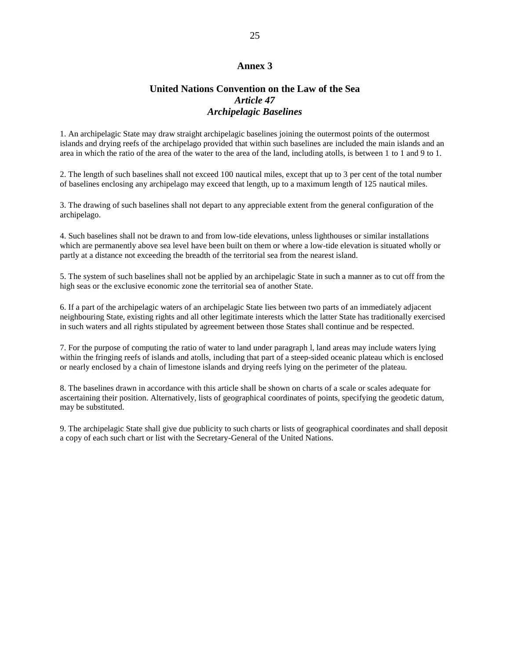#### **Annex 3**

## **United Nations Convention on the Law of the Sea** *Article 47 Archipelagic Baselines*

1. An archipelagic State may draw straight archipelagic baselines joining the outermost points of the outermost islands and drying reefs of the archipelago provided that within such baselines are included the main islands and an area in which the ratio of the area of the water to the area of the land, including atolls, is between 1 to 1 and 9 to 1.

2. The length of such baselines shall not exceed 100 nautical miles, except that up to 3 per cent of the total number of baselines enclosing any archipelago may exceed that length, up to a maximum length of 125 nautical miles.

3. The drawing of such baselines shall not depart to any appreciable extent from the general configuration of the archipelago.

4. Such baselines shall not be drawn to and from low-tide elevations, unless lighthouses or similar installations which are permanently above sea level have been built on them or where a low-tide elevation is situated wholly or partly at a distance not exceeding the breadth of the territorial sea from the nearest island.

5. The system of such baselines shall not be applied by an archipelagic State in such a manner as to cut off from the high seas or the exclusive economic zone the territorial sea of another State.

6. If a part of the archipelagic waters of an archipelagic State lies between two parts of an immediately adjacent neighbouring State, existing rights and all other legitimate interests which the latter State has traditionally exercised in such waters and all rights stipulated by agreement between those States shall continue and be respected.

7. For the purpose of computing the ratio of water to land under paragraph l, land areas may include waters lying within the fringing reefs of islands and atolls, including that part of a steep-sided oceanic plateau which is enclosed or nearly enclosed by a chain of limestone islands and drying reefs lying on the perimeter of the plateau.

8. The baselines drawn in accordance with this article shall be shown on charts of a scale or scales adequate for ascertaining their position. Alternatively, lists of geographical coordinates of points, specifying the geodetic datum, may be substituted.

9. The archipelagic State shall give due publicity to such charts or lists of geographical coordinates and shall deposit a copy of each such chart or list with the Secretary-General of the United Nations.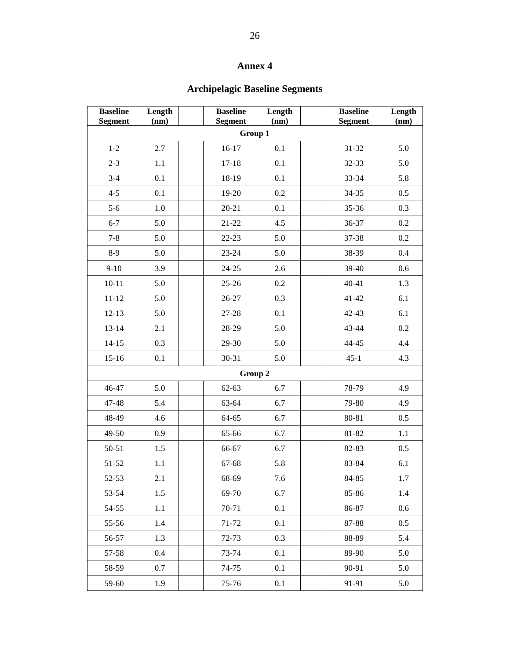## **Annex 4**

# **Archipelagic Baseline Segments**

| <b>Baseline</b><br><b>Segment</b> | Length<br>(nm) |  | <b>Baseline</b><br><b>Segment</b> | Length<br>(nm) |  | <b>Baseline</b><br><b>Segment</b> | Length<br>(nm) |
|-----------------------------------|----------------|--|-----------------------------------|----------------|--|-----------------------------------|----------------|
| Group 1                           |                |  |                                   |                |  |                                   |                |
| $1 - 2$                           | 2.7            |  | $16 - 17$                         | 0.1            |  | $31 - 32$                         | 5.0            |
| $2 - 3$                           | 1.1            |  | $17 - 18$                         | 0.1            |  | 32-33                             | 5.0            |
| $3-4$                             | 0.1            |  | 18-19                             | 0.1            |  | 33-34                             | 5.8            |
| $4 - 5$                           | 0.1            |  | 19-20                             | $0.2\,$        |  | 34-35                             | 0.5            |
| $5-6$                             | 1.0            |  | 20-21                             | 0.1            |  | 35-36                             | 0.3            |
| $6 - 7$                           | 5.0            |  | $21 - 22$                         | 4.5            |  | 36-37                             | 0.2            |
| $7 - 8$                           | 5.0            |  | $22 - 23$                         | 5.0            |  | 37-38                             | 0.2            |
| $8-9$                             | 5.0            |  | $23 - 24$                         | 5.0            |  | 38-39                             | 0.4            |
| $9-10$                            | 3.9            |  | $24 - 25$                         | 2.6            |  | 39-40                             | 0.6            |
| $10 - 11$                         | 5.0            |  | $25 - 26$                         | $0.2\,$        |  | $40 - 41$                         | 1.3            |
| $11 - 12$                         | 5.0            |  | 26-27                             | 0.3            |  | 41-42                             | 6.1            |
| $12-13$                           | 5.0            |  | 27-28                             | 0.1            |  | 42-43                             | 6.1            |
| $13 - 14$                         | 2.1            |  | 28-29                             | 5.0            |  | 43-44                             | 0.2            |
| $14 - 15$                         | 0.3            |  | 29-30                             | 5.0            |  | 44-45                             | 4.4            |
| $15-16$                           | 0.1            |  | $30 - 31$                         | 5.0            |  | $45 - 1$                          | 4.3            |
|                                   |                |  | Group 2                           |                |  |                                   |                |
| 46-47                             | 5.0            |  | 62-63                             | 6.7            |  | 78-79                             | 4.9            |
| 47-48                             | 5.4            |  | 63-64                             | 6.7            |  | 79-80                             | 4.9            |
| 48-49                             | 4.6            |  | 64-65                             | 6.7            |  | 80-81                             | 0.5            |
| 49-50                             | 0.9            |  | 65-66                             | 6.7            |  | 81-82                             | 1.1            |
| $50 - 51$                         | 1.5            |  | 66-67                             | 6.7            |  | 82-83                             | 0.5            |
| 51-52                             | 1.1            |  | 67-68                             | 5.8            |  | 83-84                             | 6.1            |
| 52-53                             | 2.1            |  | 68-69                             | 7.6            |  | 84-85                             | 1.7            |
| 53-54                             | 1.5            |  | 69-70                             | 6.7            |  | 85-86                             | 1.4            |
| 54-55                             | 1.1            |  | 70-71                             | 0.1            |  | 86-87                             | 0.6            |
| 55-56                             | 1.4            |  | 71-72                             | 0.1            |  | 87-88                             | 0.5            |
| 56-57                             | 1.3            |  | 72-73                             | 0.3            |  | 88-89                             | 5.4            |
| 57-58                             | 0.4            |  | 73-74                             | 0.1            |  | 89-90                             | 5.0            |
| 58-59                             | 0.7            |  | 74-75                             | 0.1            |  | 90-91                             | 5.0            |
| 59-60                             | 1.9            |  | 75-76                             | 0.1            |  | 91-91                             | 5.0            |